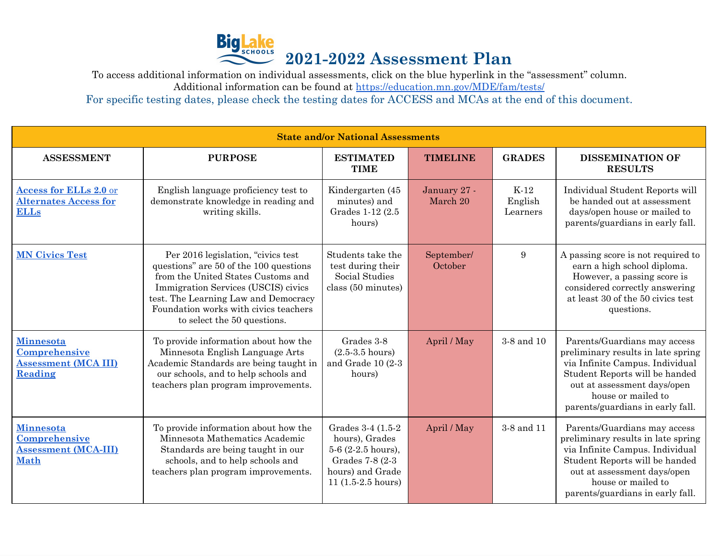

To access additional information on individual assessments, click on the blue hyperlink in the "assessment" column.

Additional information can be found at <https://education.mn.gov/MDE/fam/tests/>

For specific testing dates, please check the testing dates for ACCESS and MCAs at the end of this document.

| <b>State and/or National Assessments</b>                                               |                                                                                                                                                                                                                                                                           |                                                                                                                              |                          |                               |                                                                                                                                                                                                                                  |
|----------------------------------------------------------------------------------------|---------------------------------------------------------------------------------------------------------------------------------------------------------------------------------------------------------------------------------------------------------------------------|------------------------------------------------------------------------------------------------------------------------------|--------------------------|-------------------------------|----------------------------------------------------------------------------------------------------------------------------------------------------------------------------------------------------------------------------------|
| <b>ASSESSMENT</b>                                                                      | <b>PURPOSE</b>                                                                                                                                                                                                                                                            | <b>ESTIMATED</b><br><b>TIME</b>                                                                                              | <b>TIMELINE</b>          | <b>GRADES</b>                 | <b>DISSEMINATION OF</b><br><b>RESULTS</b>                                                                                                                                                                                        |
| <b>Access for ELLs 2.0 or</b><br><b>Alternates Access for</b><br><b>ELLs</b>           | English language proficiency test to<br>demonstrate knowledge in reading and<br>writing skills.                                                                                                                                                                           | Kindergarten (45<br>minutes) and<br>Grades 1-12 (2.5)<br>hours)                                                              | January 27 -<br>March 20 | $K-12$<br>English<br>Learners | Individual Student Reports will<br>be handed out at assessment<br>days/open house or mailed to<br>parents/guardians in early fall.                                                                                               |
| <b>MN Civics Test</b>                                                                  | Per 2016 legislation, "civics test<br>questions" are 50 of the 100 questions<br>from the United States Customs and<br>Immigration Services (USCIS) civics<br>test. The Learning Law and Democracy<br>Foundation works with civics teachers<br>to select the 50 questions. | Students take the<br>test during their<br>Social Studies<br>class (50 minutes)                                               | September/<br>October    | $9\phantom{.}$                | A passing score is not required to<br>earn a high school diploma.<br>However, a passing score is<br>considered correctly answering<br>at least 30 of the 50 civics test<br>questions.                                            |
| <b>Minnesota</b><br>Comprehensive<br><b>Assessment (MCA III)</b><br>Reading            | To provide information about how the<br>Minnesota English Language Arts<br>Academic Standards are being taught in<br>our schools, and to help schools and<br>teachers plan program improvements.                                                                          | Grades 3-8<br>$(2.5-3.5)$ hours)<br>and Grade $10(2-3)$<br>hours)                                                            | April / May              | 3-8 and 10                    | Parents/Guardians may access<br>preliminary results in late spring<br>via Infinite Campus. Individual<br>Student Reports will be handed<br>out at assessment days/open<br>house or mailed to<br>parents/guardians in early fall. |
| <b>Minnesota</b><br><b>Comprehensive</b><br><b>Assessment (MCA-III)</b><br><b>Math</b> | To provide information about how the<br>Minnesota Mathematics Academic<br>Standards are being taught in our<br>schools, and to help schools and<br>teachers plan program improvements.                                                                                    | Grades 3-4 (1.5-2)<br>hours), Grades<br>$5-6$ (2-2.5 hours),<br>Grades 7-8 (2-3)<br>hours) and Grade<br>$11 (1.5-2.5 hours)$ | April / May              | 3-8 and 11                    | Parents/Guardians may access<br>preliminary results in late spring<br>via Infinite Campus. Individual<br>Student Reports will be handed<br>out at assessment days/open<br>house or mailed to<br>parents/guardians in early fall. |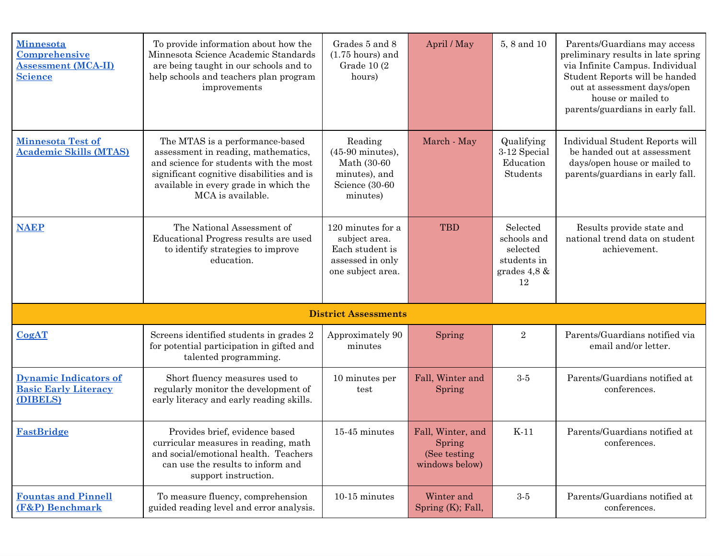| <b>Minnesota</b><br>Comprehensive<br><b>Assessment (MCA-II)</b><br><b>Science</b> | To provide information about how the<br>Minnesota Science Academic Standards<br>are being taught in our schools and to<br>help schools and teachers plan program<br>improvements                                            | Grades 5 and 8<br>$(1.75$ hours) and<br>Grade 10 (2)<br>hours)                                       | April / May                                                    | 5, 8 and 10                                                                 | Parents/Guardians may access<br>preliminary results in late spring<br>via Infinite Campus. Individual<br>Student Reports will be handed<br>out at assessment days/open<br>house or mailed to<br>parents/guardians in early fall. |
|-----------------------------------------------------------------------------------|-----------------------------------------------------------------------------------------------------------------------------------------------------------------------------------------------------------------------------|------------------------------------------------------------------------------------------------------|----------------------------------------------------------------|-----------------------------------------------------------------------------|----------------------------------------------------------------------------------------------------------------------------------------------------------------------------------------------------------------------------------|
| <b>Minnesota Test of</b><br><b>Academic Skills (MTAS)</b>                         | The MTAS is a performance-based<br>assessment in reading, mathematics,<br>and science for students with the most<br>significant cognitive disabilities and is<br>available in every grade in which the<br>MCA is available. | Reading<br>$(45-90 \text{ minutes}),$<br>Math (30-60)<br>minutes), and<br>Science (30-60<br>minutes) | March - May                                                    | Qualifying<br>3-12 Special<br>Education<br>Students                         | Individual Student Reports will<br>be handed out at assessment<br>days/open house or mailed to<br>parents/guardians in early fall.                                                                                               |
| <b>NAEP</b>                                                                       | The National Assessment of<br>Educational Progress results are used<br>to identify strategies to improve<br>education.                                                                                                      | 120 minutes for a<br>subject area.<br>Each student is<br>assessed in only<br>one subject area.       | <b>TBD</b>                                                     | Selected<br>schools and<br>selected<br>students in<br>grades $4,8 \&$<br>12 | Results provide state and<br>national trend data on student<br>achievement.                                                                                                                                                      |
| <b>District Assessments</b>                                                       |                                                                                                                                                                                                                             |                                                                                                      |                                                                |                                                                             |                                                                                                                                                                                                                                  |
| CogAT                                                                             | Screens identified students in grades 2<br>for potential participation in gifted and<br>talented programming.                                                                                                               | Approximately 90<br>minutes                                                                          | Spring                                                         | $\sqrt{2}$                                                                  | Parents/Guardians notified via<br>email and/or letter.                                                                                                                                                                           |
| <b>Dynamic Indicators of</b><br><b>Basic Early Literacy</b><br>(DIBELS)           | Short fluency measures used to<br>regularly monitor the development of<br>early literacy and early reading skills.                                                                                                          | 10 minutes per<br>test                                                                               | Fall, Winter and<br>Spring                                     | $3-5$                                                                       | Parents/Guardians notified at<br>conferences.                                                                                                                                                                                    |
| <b>FastBridge</b>                                                                 | Provides brief, evidence based<br>curricular measures in reading, math<br>and social/emotional health. Teachers<br>can use the results to inform and<br>support instruction.                                                | 15-45 minutes                                                                                        | Fall, Winter, and<br>Spring<br>(See testing)<br>windows below) | $K-11$                                                                      | Parents/Guardians notified at<br>conferences.                                                                                                                                                                                    |
| <b>Fountas and Pinnell</b><br>(F&P) Benchmark                                     | To measure fluency, comprehension<br>guided reading level and error analysis.                                                                                                                                               | 10-15 minutes                                                                                        | Winter and<br>Spring $(K)$ ; Fall,                             | $3-5$                                                                       | Parents/Guardians notified at<br>conferences.                                                                                                                                                                                    |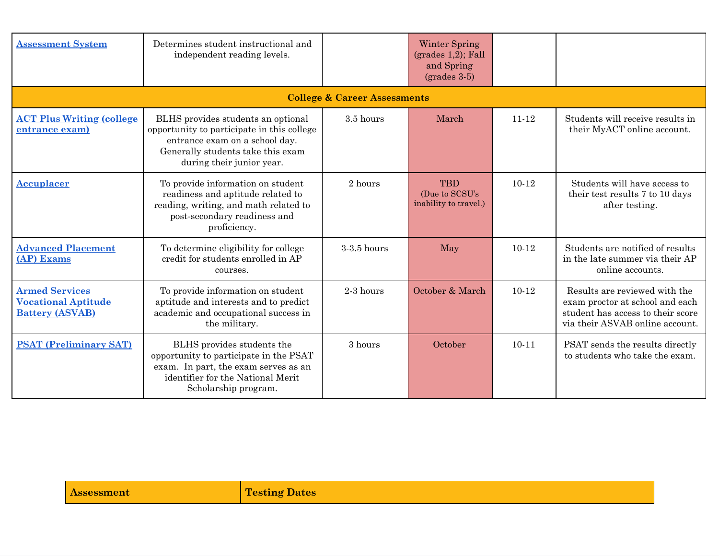| <b>Assessment System</b>                                                      | Determines student instructional and<br>independent reading levels.                                                                                                                  |             | Winter Spring<br>$(grades 1,2)$ ; Fall<br>and Spring<br>$\left( \text{grades } 3.5 \right)$ |           |                                                                                                                                          |
|-------------------------------------------------------------------------------|--------------------------------------------------------------------------------------------------------------------------------------------------------------------------------------|-------------|---------------------------------------------------------------------------------------------|-----------|------------------------------------------------------------------------------------------------------------------------------------------|
|                                                                               | <b>College &amp; Career Assessments</b>                                                                                                                                              |             |                                                                                             |           |                                                                                                                                          |
| <b>ACT Plus Writing (college)</b><br>entrance exam)                           | BLHS provides students an optional<br>opportunity to participate in this college<br>entrance exam on a school day.<br>Generally students take this exam<br>during their junior year. | 3.5 hours   | March                                                                                       | $11 - 12$ | Students will receive results in<br>their MyACT online account.                                                                          |
| <b>Accuplacer</b>                                                             | To provide information on student<br>readiness and aptitude related to<br>reading, writing, and math related to<br>post-secondary readiness and<br>proficiency.                      | 2 hours     | <b>TBD</b><br>(Due to SCSU's<br>inability to travel.)                                       | $10-12$   | Students will have access to<br>their test results 7 to 10 days<br>after testing.                                                        |
| <b>Advanced Placement</b><br>(AP) Exams                                       | To determine eligibility for college<br>credit for students enrolled in AP<br>courses.                                                                                               | 3-3.5 hours | May                                                                                         | $10 - 12$ | Students are notified of results<br>in the late summer via their AP<br>online accounts.                                                  |
| <b>Armed Services</b><br><b>Vocational Aptitude</b><br><b>Battery (ASVAB)</b> | To provide information on student<br>aptitude and interests and to predict<br>academic and occupational success in<br>the military.                                                  | $2-3$ hours | October & March                                                                             | $10-12$   | Results are reviewed with the<br>exam proctor at school and each<br>student has access to their score<br>via their ASVAB online account. |
| <b>PSAT (Preliminary SAT)</b>                                                 | BLHS provides students the<br>opportunity to participate in the PSAT<br>exam. In part, the exam serves as an<br>identifier for the National Merit<br>Scholarship program.            | 3 hours     | October                                                                                     | $10 - 11$ | PSAT sends the results directly<br>to students who take the exam.                                                                        |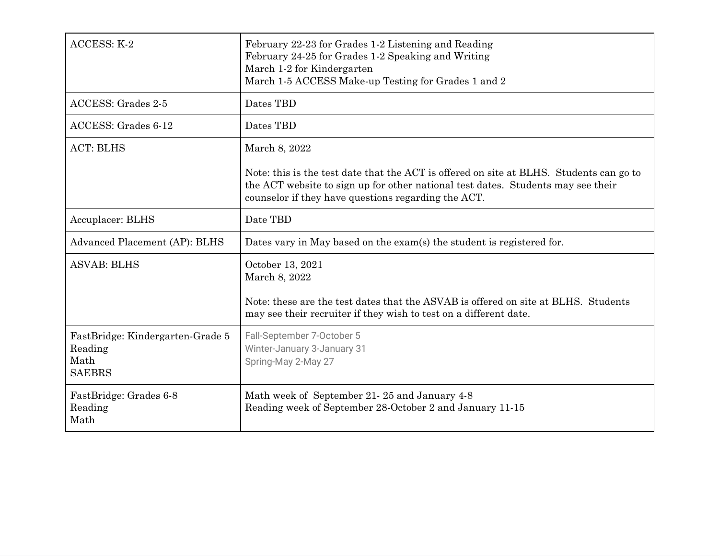| ACCESS: K-2                                                          | February 22-23 for Grades 1-2 Listening and Reading<br>February 24-25 for Grades 1-2 Speaking and Writing<br>March 1-2 for Kindergarten<br>March 1-5 ACCESS Make-up Testing for Grades 1 and 2                                     |
|----------------------------------------------------------------------|------------------------------------------------------------------------------------------------------------------------------------------------------------------------------------------------------------------------------------|
| <b>ACCESS: Grades 2-5</b>                                            | Dates TBD                                                                                                                                                                                                                          |
| ACCESS: Grades 6-12                                                  | Dates TBD                                                                                                                                                                                                                          |
| <b>ACT: BLHS</b>                                                     | March 8, 2022                                                                                                                                                                                                                      |
|                                                                      | Note: this is the test date that the ACT is offered on site at BLHS. Students can go to<br>the ACT website to sign up for other national test dates. Students may see their<br>counselor if they have questions regarding the ACT. |
| Accuplacer: BLHS                                                     | Date TBD                                                                                                                                                                                                                           |
| Advanced Placement (AP): BLHS                                        | Dates vary in May based on the exam(s) the student is registered for.                                                                                                                                                              |
| <b>ASVAB: BLHS</b>                                                   | October 13, 2021<br>March 8, 2022<br>Note: these are the test dates that the ASVAB is offered on site at BLHS. Students<br>may see their recruiter if they wish to test on a different date.                                       |
| FastBridge: Kindergarten-Grade 5<br>Reading<br>Math<br><b>SAEBRS</b> | Fall-September 7-October 5<br>Winter-January 3-January 31<br>Spring-May 2-May 27                                                                                                                                                   |
| FastBridge: Grades 6-8<br>Reading<br>Math                            | Math week of September 21-25 and January 4-8<br>Reading week of September 28-October 2 and January 11-15                                                                                                                           |